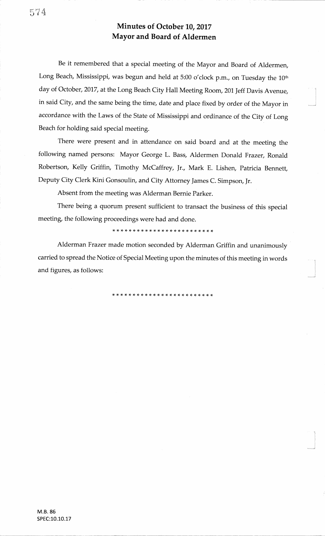Be it remembered that a special meeting of the Mayor and Board of Aldermen, Long Beach, Mississippi, was begun and held at 5:00 o'clock p.m., on Tuesday the 10<sup>th</sup> day of October, 2017, at the Long Beach City Hall Meeting Room, 201 Jeff Davis Avenue, in said City, and the same being the time, date and place fixed by order of the Mayor inaccordance with the Laws of the State of Mississippi and ordinance of the City of LongBeach for holding said special meeting.

There were present and in attendance on said board and at the meeting thefollowing named persons: Mayor George L. Bass, Aldermen Donald Frazer, RonaldRobertson, Kelly Griffin, Timothy McCaffrey, Jr., Mark E. Lishen, Patricia Bennett, Deputy City Clerk Kini Gonsoulin, and City Attorney James C. simpson, Jr.

Absent from the meeting was Alderman Bernie Parker.

There being a quorum present sufficient to transact the business of this special meeting, the following proceedings were had and done.

### ,t rt \* \* \* \* rt )t \* \* \* \* r+ rG rF \* \* rF r{. rr rs \* \* \* :F

Alderman Frazer made motion seconded by Alderman Griffin and unanimouslycarried to spread the Notice of Special Meeting upon the minutes of this meeting in wordsand figures, as follows:

)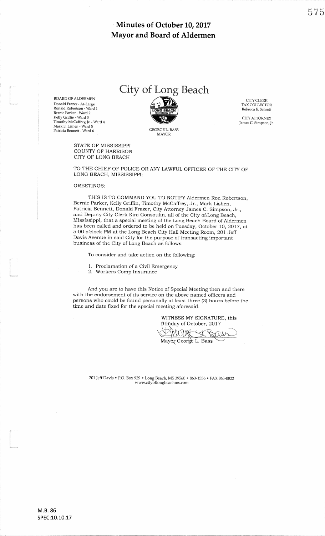BOARD OF ALDERMEN Donald Frazer - At-LargeRonald Robertson - Ward 1<br>Bernie Parker - Ward 2<br>Kelly Griffin - Ward 3<br>Timothy McCaffrey, Jr. - Ward 4<br>Mark E. Lishen - Ward 5<br>Patricia Bennett - Ward 6

t<br>termonia



CITYCLERKTAXCOLLECTOR Rebecca E. Schruff

CITY ATTORNEY ]amesC. Sirnpson,Jr.

STATE OF MISSISSIPPI COUNTY OF HARRISONCITY OF LONG BEACH

TO THE CHIEF OF POLICE OR ANY LAWFUL OFFICER OF THE CITY OF LONG BEACH, MISSISSIPPI:

#### GREETINGS:

THIS IS TO COMMAND YOU TO NOTIFY Aldermen Ron Robertson, Bernie Parker, Kelly Griffin, Timothy McCaffrey, Jr., Mark Lishen, Patricia Bennett, Donald Frazer, City Attorney James C. Simpson, Jr.,and Deputy City Clerk Kini Gonsoulin, all of the City of.Long Beach, Mississippi, that a special meeting of the Long Beach Board of Aldermen has been called and ordered to be held on Tuesday, October 10, 2017, at 5:OO o'clock PM at the Long Beach City Hall Meeting Room, 201 JeffDavis Avenue in said City for the purpose of transacting importantbusiness of the City of Long Beach as follows:

To consider and take action on the following:

- 1. Proclamation of a Civil Emergency
- 2. Workers Comp lnsurance

And you are to have this Notice of Special Meeting then and therewith the endorsement of its service on the above named officers and persons who could be found personally at least three (3) hours before thetime and date fixed for the special meeting aforesaid.

WITNESS MY SIGNATURE, this  $9th$  day of October, 2017 Allalle Base Mayor George L. Bass

201 Jeff Davis • P.O. Box 929 • Long Beach, MS 39560 • 863-1556 • FAX 865-0822 www.cityoflongbeachms.com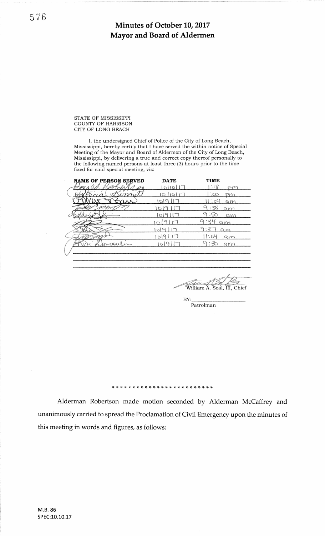STATE OF MISSISSIPPI COUNTY OF HARRISON CITY OF LONG BEACH

I, the undersigned Chief of Police of the City of Long Beach, Mississippi, hereby certify that I have served the within nolice of Special Meeting of the Mayor and Board of Aldermen of the City of Long Beach, Mississippi, by delivering a true and correct copy thereof personally to the following named persons at least three (3) hours prior to the time fixed for said special meeting, viz:

| <b>NAME OF PERSON SERVED</b> | <b>DATE</b>              | <b>TIME</b>         |
|------------------------------|--------------------------|---------------------|
|                              | 1011017                  | :18<br>PY           |
|                              | 10/10/17                 | 100<br>PY           |
|                              | P P Q'                   | ∵ంట<br>$\alpha$ $m$ |
|                              | $\overline{a}$<br>$\sim$ | :38<br>am           |
|                              | 1019117                  | 'SO<br>$\alpha$ m   |
|                              | 917                      | $\cdot$ 3<br>am     |
| والأقليمية                   | Q<br>$\circ$             | 9:3<br>$\alpha$ $m$ |
|                              |                          | 11:04<br>am         |
|                              |                          | $\alpha$ $m$        |
|                              |                          |                     |
|                              |                          |                     |

.<br>Vəfat , Chief

BY: Patrolman

#### )F )F,T,F,F,F \*,F \* \* \*,T,F :T,I,F,T \*,F,T,T,F,F TF,F

Alderman Robertson made motion seconded by Alderman McCaffrey and unanimously carried to spread the Proclamation of Civil Emergency upon the minutes of this meeting in words and figures, as follows: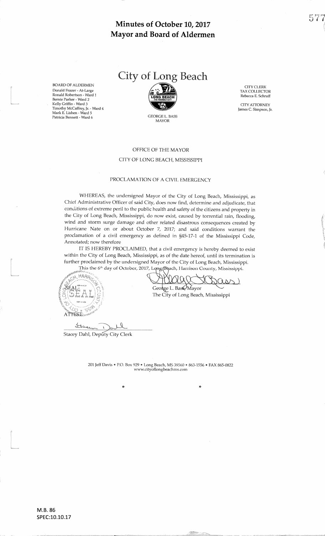BOARD OF ALDERMEN Donald Frazer - AFLarge Ronald Robertson - Ward I Bernie Parker - Ward 2<br>Kelly Griffin - Ward 3 Timothy McCaffrey, Jr. - Ward <sup>4</sup> Mark E. Lishen - Ward 5Patricia Bennett - Ward 6



GEORGE L. BASS MAYOR

CITY CLERK TAX COLLECTOR Rebecca E. Schruff

5',7 7

A!,t(

CITYATTORNEYJames C. Simpson, Jr.

#### OFFICE OF THE MAYOR

## CITY OF LONG BEACH, MISSISSIPPI

#### PROCLAMATION OF A CIVIL EMERGENCY

WHEREAS, the undersigned Mayor of the Cify of Long Beach, Mississippi, as Chicf Administrative Officer of said City, does now find, determine and adiudicate, thatconditions of extreme peril to the public health and safety of the citizens and property in the City of Long Beach, Mississippi, do now exist, caused by torrential rain, flooding wind and storm surge damagc and other related disastrous consequences created by Hurricane Nate on or about October 7,2017; and said conditions warrant the proclamation of a civil emergency as defined in \$45-17-1 of the Mississippi Code,Annotated; now therefore

IT IS HEREBY PROCLAIMED, that a civil emergency is hereby deemed to exist within the City of Long Beach, Mississippi, as of the date hereof, until its termination isfurther proclaimed by the undersigned Mayor of the City of Long Beach, Mississippi

This the 6th day of October, 2017, Long(Beach, Harrison County, Mississippi  $HAPBZ$ r <sup>egyp</sup> a sz, a<br>C ('"} $\begin{matrix} \frac{1}{2} & \frac{1}{2} & \frac{1}{2} \ \frac{1}{2} & \frac{1}{2} & \frac{1}{2} \ \frac{1}{2} & \frac{1}{2} & \frac{1}{2} \ \frac{1}{2} & \frac{1}{2} & \frac{1}{2} \ \frac{1}{2} & \frac{1}{2} & \frac{1}{2} \ \frac{1}{2} & \frac{1}{2} & \frac{1}{2} \ \frac{1}{2} & \frac{1}{2} & \frac{1}{2} \ \frac{1}{2} & \frac{1}{2} & \frac{1}{2} & \frac{1}{2} \ \frac{1}{2} & \frac{1}{2}$  i:)dan di di 13i%A

VV OG DUDS) George L. Bass, Mayor

The City of Long Beach, Mississipp

,+

'4ps--..'--\

Glace Dall Stacey Dahl, Deputy City Clerk

201 Jeff Davis . P.O. Box 929 . Long Beach, MS 39560 . 863-1556 . FAX 865-0822 w:vw.cityoflongbeachms.com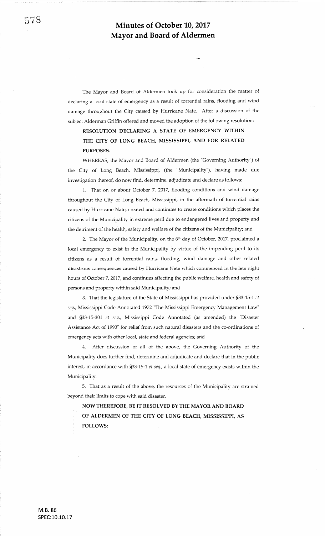The Mayor and Board of Aldermen took up for consideration the matter of declaring a local state of emergency as a result of torrential rains, flooding and wind damage throughout the City caused by Hurricane Nate. After a discussion of the subject Alderman Griffin offered and moved the adoption of the following resolution:

RESOLUTION DECLARING A STATE OF EMERGENCY WITHIN THE CITY OF LONG BEACH, MISSISSPPI, AND FOR RELATED PURPOSES.

WHEREAS, the Mayor and Board of Aldermen (the "Governing Authority") of the City of Long Beach, Mississippi, (the "Municipality"), having made due investigation thereof, do now find, determine, adjudicate and declare as follows:

1. That on or about October 7, 2017, flooding conditions and wind damage throughout the City of Long Beach, Mississippi, in the afterrnath of torrential rains caused by Hurricane Nate, created and continues to create conditions which places the citizens of the Municipality in extreme peril due to endangered lives and property and the detriment of the health, safety and welfare of the citizens of the Municipality; and

2. The Mayor of the Municipality, on the 6<sup>th</sup> day of October, 2017, proclaimed a local emergency to exist in the Municipality by virtue of the impending peril to its citizens as a result of torrential rains, flooding, wind damage and other related disastrous consequences caused by Hurricane Nate which comrnenced in the late night hours of October 7, 2017, and continues affecting the public welfare, health and safety of persons and property within said Municipality; and

3. That the legislature of the State of Mississippi has provided under §33-15-1 et seq., Mississippi Code Annotated 1972 "The Mississippi Emergency Management Law" and §33-15-301 et seq., Mississippi Code Annotated (as amended) the "Disaster Assistance Act of 1993" for relief from such natural disasters and the co-ordinations of emergency acts with other local, state and federal agencies; and

4. After discussion of all of the above, the Governing Authority of the Municipality does further find, determine and adjudicate and declare that in the public interest, in accordance with §33-15-1 et seq., a local state of emergency exists within the Municipality.

5. That as a result of the above, the resources of the Municipality are strained beyond their limits to cope with said disaster.

NOW THEREFORE, BE IT RESOLVED BY THE MAYOR AND BOARD OF ALDERMEN OF THE CITY OF LONG BEACII, MISSISSPPI, AS FOLLOWS: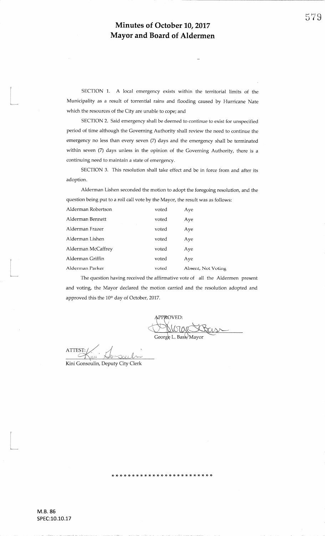SECTION 1. A local emergency exists within the territorial limits of the Municipalify as a result of torrential rains and flooding caused by Hurricane Natewhich the resources of the City are unable to cope; and

SECTION 2. Said emergency shall be deemed to continue to exist for unspecifiedperiod of time although the Goveming Authority shall review the need to continue theemergency no less than every seven (7) days and the emergency shall be terminated within seven (7) days unless in the opinion of the Governing Authority, there is acontinuing need to maintain a state of emergency.

SECTION 3. This resolution shall take effect and be in force from and after itsadoption.

Alderman Lishen seconded the motion to adopt the foregoing resolution, and the question being put to a roll call vote by the Mayor, the result was as follows:

| Alderman Robertson | voted | Aye                |
|--------------------|-------|--------------------|
| Alderman Bennett   | voted | Aye                |
| Alderman Frazer    | voted | Aye                |
| Alderman Lishen    | voted | Aye                |
| Alderman McCaffrey | voted | Aye                |
| Alderman Griffin   | voted | Aye                |
| Alderman Parker    | voted | Absent, Not Voting |

The question having received the affirmative vote of all the Aldermen present and voting; the Mayor declared the motion carried and the resolution adopted andapproved this the 10<sup>th</sup> day of October, 2017.

:F T} 'F 'F 'F 'F :F 'T 'F !F 'F 'F 'T 'S 'F 'T :} IF 'F 'F !I 'F 'T 'I. :T

**APPROVED** L.

**ATTEST** 

Kini Gonsoulir; Depury City Clerk

l<br>Linnarozofi

L

L

579